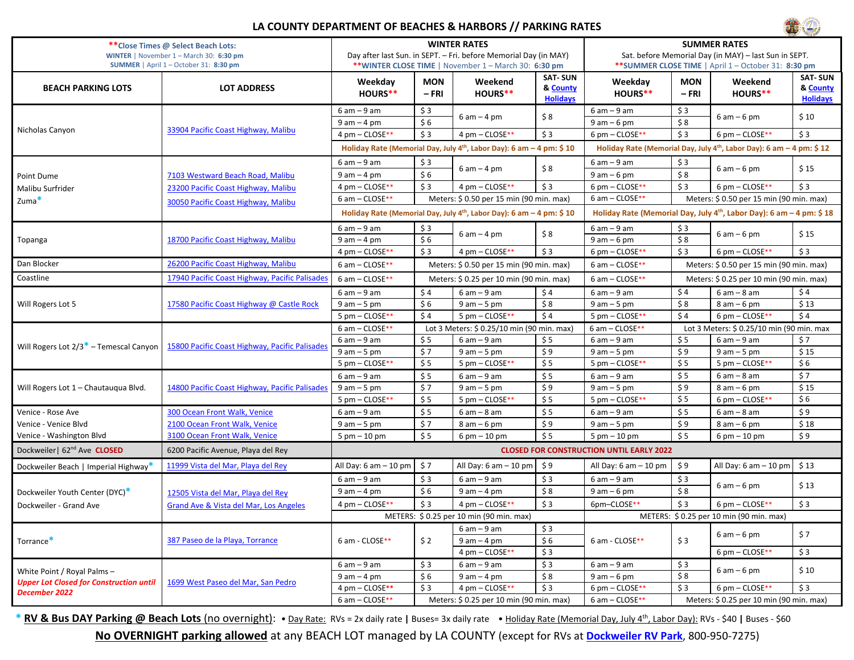## **LA COUNTY DEPARTMENT OF BEACHES & HARBORS // PARKING RATES**



| ** Close Times @ Select Beach Lots:                                                            |                                                                                                     | <b>WINTER RATES</b>                                                              |                                            |                                         |                                               | <b>SUMMER RATES</b>                                                              |                                          |                                          |                                               |  |
|------------------------------------------------------------------------------------------------|-----------------------------------------------------------------------------------------------------|----------------------------------------------------------------------------------|--------------------------------------------|-----------------------------------------|-----------------------------------------------|----------------------------------------------------------------------------------|------------------------------------------|------------------------------------------|-----------------------------------------------|--|
| WINTER   November 1 - March 30: 6:30 pm                                                        |                                                                                                     | Day after last Sun. in SEPT. - Fri. before Memorial Day (in MAY)                 |                                            |                                         |                                               | Sat. before Memorial Day (in MAY) - last Sun in SEPT.                            |                                          |                                          |                                               |  |
| SUMMER   April 1 - October 31: 8:30 pm                                                         |                                                                                                     | ** WINTER CLOSE TIME   November 1 - March 30: 6:30 pm                            |                                            |                                         |                                               | <b>**SUMMER CLOSE TIME</b>   April 1 – October 31: <b>8:30 pm</b>                |                                          |                                          |                                               |  |
| <b>BEACH PARKING LOTS</b>                                                                      | <b>LOT ADDRESS</b>                                                                                  | Weekday<br>HOURS**                                                               | <b>MON</b><br>– FRI                        | Weekend<br>HOURS**                      | <b>SAT-SUN</b><br>& County<br><b>Holidays</b> | Weekday<br>HOURS**                                                               | <b>MON</b><br>– FRI                      | Weekend<br>HOURS**                       | <b>SAT-SUN</b><br>& County<br><b>Holidays</b> |  |
| Nicholas Canyon                                                                                | 33904 Pacific Coast Highway, Malibu                                                                 | $6 am - 9 am$                                                                    | \$3                                        | $6 am - 4 pm$                           | \$8                                           | $6 am - 9 am$                                                                    | \$3                                      |                                          | \$10                                          |  |
|                                                                                                |                                                                                                     | $9$ am $-4$ pm                                                                   | \$6                                        |                                         |                                               | $9 am - 6 pm$                                                                    | \$8                                      | $6 am - 6 pm$                            |                                               |  |
|                                                                                                |                                                                                                     | 4 pm - CLOSE**                                                                   | \$3                                        | 4 pm - CLOSE**                          | \$3                                           | 6 pm $-$ CLOSE**                                                                 | \$3                                      | 6 pm $-$ CLOSE**                         | \$3                                           |  |
|                                                                                                |                                                                                                     | Holiday Rate (Memorial Day, July 4 <sup>th</sup> , Labor Day): 6 am - 4 pm: \$10 |                                            |                                         |                                               | Holiday Rate (Memorial Day, July 4 <sup>th</sup> , Labor Day): 6 am - 4 pm: \$12 |                                          |                                          |                                               |  |
|                                                                                                |                                                                                                     | $6 am - 9 am$                                                                    | \$3                                        |                                         |                                               | $6 am - 9 am$                                                                    | \$3                                      |                                          |                                               |  |
| Point Dume                                                                                     | 7103 Westward Beach Road, Malibu                                                                    | $9 am - 4 pm$                                                                    | \$6                                        | $6 am - 4 pm$                           | \$8                                           | $9 am - 6 pm$                                                                    | \$8                                      | $6 am - 6 pm$                            | \$15                                          |  |
| Malibu Surfrider                                                                               | 23200 Pacific Coast Highway, Malibu                                                                 | 4 pm - CLOSE**                                                                   | \$3                                        | 4 pm - CLOSE**                          | \$3                                           | 6 pm $-$ CLOSE**                                                                 | \$3                                      | 6 pm $-$ CLOSE**                         | \$3                                           |  |
| Zuma <sup>*</sup>                                                                              | 30050 Pacific Coast Highway, Malibu                                                                 | 6 am - CLOSE**                                                                   | Meters: \$ 0.50 per 15 min (90 min. max)   |                                         |                                               | 6 am - CLOSE**                                                                   | Meters: \$ 0.50 per 15 min (90 min. max) |                                          |                                               |  |
|                                                                                                |                                                                                                     | Holiday Rate (Memorial Day, July $4^{th}$ , Labor Day): 6 am $-$ 4 pm: \$ 10     |                                            |                                         |                                               | Holiday Rate (Memorial Day, July $4th$ , Labor Day): 6 am – 4 pm: \$18           |                                          |                                          |                                               |  |
|                                                                                                | 18700 Pacific Coast Highway, Malibu                                                                 | $6 am - 9 am$                                                                    | \$3                                        |                                         |                                               | $6 am - 9 am$                                                                    | \$3                                      |                                          |                                               |  |
| Topanga                                                                                        |                                                                                                     | $9$ am $-4$ pm                                                                   | \$6                                        | $6 am - 4 pm$                           | \$8                                           | $9 am - 6 pm$                                                                    | \$8                                      | $6 am - 6 pm$                            | \$15                                          |  |
|                                                                                                |                                                                                                     | 4 pm - CLOSE**                                                                   | \$3                                        | 4 pm - CLOSE**                          | \$3                                           | 6 pm - CLOSE**                                                                   | \$3                                      | 6 pm $-$ CLOSE**                         | \$3                                           |  |
| Dan Blocker                                                                                    | 26200 Pacific Coast Highway, Malibu                                                                 | $6$ am $-$ CLOSE**                                                               | Meters: \$ 0.50 per 15 min (90 min. max)   |                                         |                                               | 6 am - CLOSE**                                                                   | Meters: \$ 0.50 per 15 min (90 min. max) |                                          |                                               |  |
| Coastline                                                                                      | 17940 Pacific Coast Highway, Pacific Palisade:                                                      | 6 am - CLOSE**                                                                   | Meters: \$ 0.25 per 10 min (90 min. max)   |                                         |                                               | 6 am - CLOSE**                                                                   | Meters: \$ 0.25 per 10 min (90 min. max) |                                          |                                               |  |
|                                                                                                | 17580 Pacific Coast Highway @ Castle Rock                                                           | $6 am - 9 am$                                                                    | \$4                                        | $6 am - 9 am$                           | \$4                                           | $6am - 9am$                                                                      | \$4                                      | $6 am - 8 am$                            | \$4                                           |  |
| Will Rogers Lot 5                                                                              |                                                                                                     | $9 am - 5 pm$                                                                    | \$6                                        | $9 am - 5 pm$                           | \$8                                           | $9 am - 5 pm$                                                                    | \$8                                      | $8 am - 6 pm$                            | \$13                                          |  |
|                                                                                                |                                                                                                     | 5 pm - CLOSE**                                                                   | \$4                                        | 5 pm - CLOSE**                          | \$4                                           | 5 pm - CLOSE**                                                                   | \$4                                      | 6 pm $-$ CLOSE**                         | \$4                                           |  |
|                                                                                                | Will Rogers Lot 2/3 <sup>*</sup> - Temescal Canyon   15800 Pacific Coast Highway, Pacific Palisades | 6 am - CLOSE**                                                                   | Lot 3 Meters: \$ 0.25/10 min (90 min. max) |                                         |                                               | 6 am - CLOSE**<br>Lot 3 Meters: \$ 0.25/10 min (90 min. max                      |                                          |                                          |                                               |  |
|                                                                                                |                                                                                                     | $6 am - 9 am$                                                                    | \$5                                        | $6 am - 9 am$                           | \$5                                           | $6 am - 9 am$                                                                    | \$5                                      | $6 am - 9 am$                            | \$7                                           |  |
|                                                                                                |                                                                                                     | $9$ am $-5$ pm                                                                   | \$7                                        | $9 am - 5 pm$                           | \$9                                           | $9 am - 5 pm$                                                                    | \$9                                      | $9 am - 5 pm$                            | \$15                                          |  |
|                                                                                                |                                                                                                     | 5 pm - CLOSE**                                                                   | \$5                                        | 5 pm - CLOSE**                          | \$5                                           | 5 pm - CLOSE**                                                                   | \$5                                      | 5 pm - CLOSE**                           | \$6                                           |  |
| Will Rogers Lot 1 - Chautauqua Blvd.                                                           | 14800 Pacific Coast Highway, Pacific Palisades                                                      | $6 am - 9 am$                                                                    | \$5                                        | $6 am - 9 am$                           | \$5                                           | $6 am - 9 am$                                                                    | \$5                                      | $6 am - 8 am$                            | \$7                                           |  |
|                                                                                                |                                                                                                     | $9$ am $-5$ pm                                                                   | \$7                                        | $9 am - 5 pm$                           | \$9                                           | $9am - 5pm$                                                                      | \$9                                      | $8 am - 6 pm$                            | \$15                                          |  |
|                                                                                                |                                                                                                     | 5 pm - CLOSE**                                                                   | \$5                                        | 5 pm - CLOSE**                          | \$5                                           | 5 pm - CLOSE**                                                                   | \$5                                      | 6 pm $-$ CLOSE**                         | \$6                                           |  |
| Venice - Rose Ave                                                                              | 300 Ocean Front Walk, Venice                                                                        | $6 am - 9 am$                                                                    | \$5                                        | $6 am - 8 am$                           | \$5                                           | $6am - 9am$                                                                      | \$5                                      | $6 am - 8 am$                            | \$9                                           |  |
| Venice - Venice Blvd                                                                           | 2100 Ocean Front Walk, Venice                                                                       | $9$ am $-5$ pm                                                                   | \$7                                        | $8$ am $-6$ pm                          | \$9                                           | $9 am - 5 pm$                                                                    | \$9                                      | $8 am - 6 pm$                            | \$18                                          |  |
| Venice - Washington Blvd                                                                       | 3100 Ocean Front Walk, Venice                                                                       | $5 \text{ pm} - 10 \text{ pm}$                                                   | \$5                                        | $6 \text{ pm} - 10 \text{ pm}$          | $$5$                                          | $5 \text{ pm} - 10 \text{ pm}$                                                   | \$5                                      | $6 \text{ pm} - 10 \text{ pm}$           | \$9                                           |  |
| Dockweiler  62 <sup>nd</sup> Ave CLOSED                                                        | 6200 Pacific Avenue, Playa del Rey                                                                  | <b>CLOSED FOR CONSTRUCTION UNTIL EARLY 2022</b>                                  |                                            |                                         |                                               |                                                                                  |                                          |                                          |                                               |  |
| Dockweiler Beach   Imperial Highway*                                                           | 11999 Vista del Mar, Playa del Rey                                                                  | All Day: 6 am - 10 pm                                                            | \$7                                        | All Day: $6 \text{ am} - 10 \text{ pm}$ | \$9                                           | All Day: $6 \text{ am} - 10 \text{ pm}$                                          | \$9                                      | All Day: $6 \text{ am} - 10 \text{ pm}$  | \$13                                          |  |
|                                                                                                |                                                                                                     | $6 am - 9 am$                                                                    | \$3                                        | $6 am - 9 am$                           | \$3                                           | $6 am - 9 am$                                                                    | \$3                                      | $6 am - 6 pm$                            | \$13                                          |  |
| Dockweiler Youth Center (DYC)*                                                                 | 12505 Vista del Mar, Playa del Rey                                                                  | $9$ am $-$ 4 pm                                                                  | \$6                                        | $9 am - 4 pm$                           | \$8                                           | $9 am - 6 pm$                                                                    | \$8                                      |                                          |                                               |  |
| Dockweiler - Grand Ave                                                                         | Grand Ave & Vista del Mar, Los Angeles                                                              | 4 pm - CLOSE**                                                                   | \$3                                        | 4 pm - CLOSE**                          | \$3                                           | 6pm-CLOSE**                                                                      | \$3                                      | 6 pm $-$ CLOSE**                         | \$3                                           |  |
|                                                                                                |                                                                                                     | METERS: \$0.25 per 10 min (90 min. max)                                          |                                            |                                         |                                               |                                                                                  |                                          | METERS: \$ 0.25 per 10 min (90 min. max) |                                               |  |
| Torrance*                                                                                      | 387 Paseo de la Plava. Torrance                                                                     | 6 am - CLOSE**                                                                   |                                            | $6 am - 9 am$                           | \$3                                           |                                                                                  |                                          | $6am - 6pm$                              | \$7                                           |  |
|                                                                                                |                                                                                                     |                                                                                  | \$2                                        | $9 am - 4 pm$                           | \$6                                           | 6 am - CLOSE**                                                                   | \$3                                      |                                          |                                               |  |
|                                                                                                |                                                                                                     |                                                                                  |                                            | 4 pm - CLOSE**                          | \$3                                           |                                                                                  |                                          | 6 pm - CLOSE**                           | \$3                                           |  |
| White Point / Royal Palms -<br><b>Upper Lot Closed for Construction until</b><br>December 2022 | 1699 West Paseo del Mar, San Pedro                                                                  | $6 am - 9 am$                                                                    | \$3                                        | $6 am - 9 am$                           | \$3                                           | $6am - 9am$                                                                      | \$3                                      | $6 am - 6 pm$                            | \$10                                          |  |
|                                                                                                |                                                                                                     | $9$ am $-4$ pm                                                                   | \$6                                        | $9 am - 4 pm$                           | \$8                                           | $9 am - 6 pm$                                                                    | \$8                                      |                                          |                                               |  |
|                                                                                                |                                                                                                     | 4 pm - CLOSE**                                                                   | \$3                                        | 4 pm - CLOSE**                          | \$3                                           | 6 pm - CLOSE**                                                                   | \$3                                      | 6 pm $-$ CLOSE**                         | \$3                                           |  |
|                                                                                                |                                                                                                     | 6 am - CLOSE**<br>Meters: \$ 0.25 per 10 min (90 min. max)                       |                                            |                                         |                                               | 6 am - CLOSE**                                                                   | Meters: \$ 0.25 per 10 min (90 min. max) |                                          |                                               |  |

\* RV & Bus DAY Parking @ Beach Lots (no overnight): • Day Rate: RVs = 2x daily rate | Buses= 3x daily rate · Holiday Rate (Memorial Day, July 4<sup>th</sup>, Labor Day): RVs - \$40 | Buses - \$60

**No OVERNIGHT parking allowed** at any BEACH LOT managed by LA COUNTY (except for RVs at **[Dockweiler RV Park](http://beaches.lacounty.gov/dockweiler-rv-park/)**, 800-950-7275)